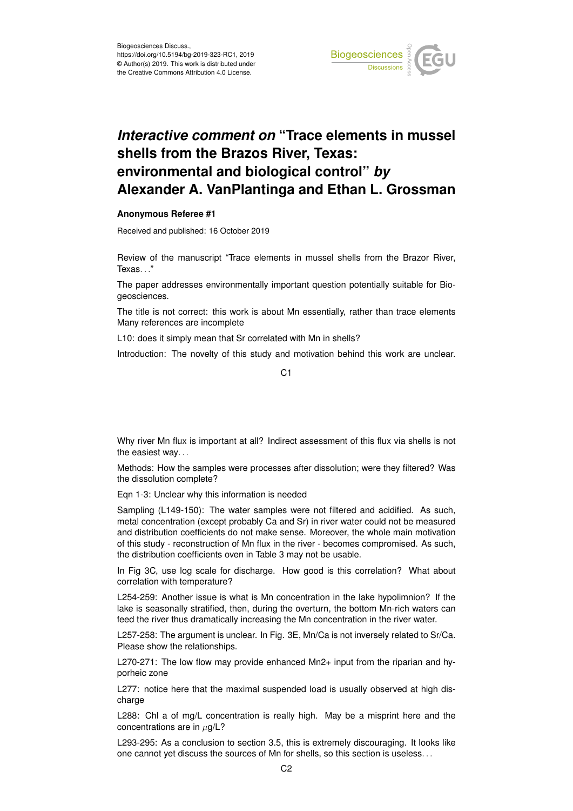

## *Interactive comment on* **"Trace elements in mussel shells from the Brazos River, Texas: environmental and biological control"** *by* **Alexander A. VanPlantinga and Ethan L. Grossman**

## **Anonymous Referee #1**

Received and published: 16 October 2019

Review of the manuscript "Trace elements in mussel shells from the Brazor River, Texas. . ."

The paper addresses environmentally important question potentially suitable for Biogeosciences.

The title is not correct: this work is about Mn essentially, rather than trace elements Many references are incomplete

L10: does it simply mean that Sr correlated with Mn in shells?

Introduction: The novelty of this study and motivation behind this work are unclear.

 $C<sub>1</sub>$ 

Why river Mn flux is important at all? Indirect assessment of this flux via shells is not the easiest way. . .

Methods: How the samples were processes after dissolution; were they filtered? Was the dissolution complete?

Eqn 1-3: Unclear why this information is needed

Sampling (L149-150): The water samples were not filtered and acidified. As such, metal concentration (except probably Ca and Sr) in river water could not be measured and distribution coefficients do not make sense. Moreover, the whole main motivation of this study - reconstruction of Mn flux in the river - becomes compromised. As such, the distribution coefficients oven in Table 3 may not be usable.

In Fig 3C, use log scale for discharge. How good is this correlation? What about correlation with temperature?

L254-259: Another issue is what is Mn concentration in the lake hypolimnion? If the lake is seasonally stratified, then, during the overturn, the bottom Mn-rich waters can feed the river thus dramatically increasing the Mn concentration in the river water.

L257-258: The argument is unclear. In Fig. 3E, Mn/Ca is not inversely related to Sr/Ca. Please show the relationships.

L270-271: The low flow may provide enhanced Mn2+ input from the riparian and hyporheic zone

L277: notice here that the maximal suspended load is usually observed at high discharge

L288: Chl a of mg/L concentration is really high. May be a misprint here and the concentrations are in  $\mu$ g/L?

L293-295: As a conclusion to section 3.5, this is extremely discouraging. It looks like one cannot yet discuss the sources of Mn for shells, so this section is useless. . .